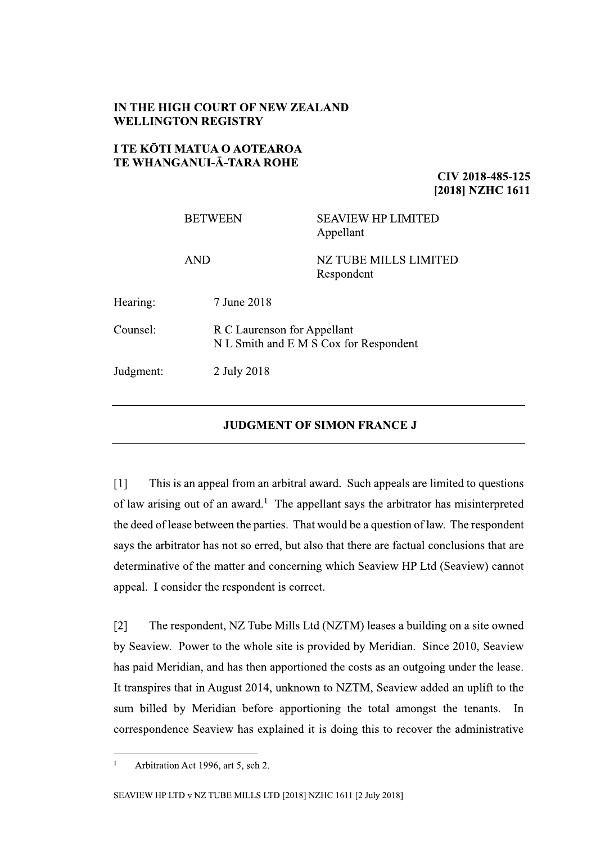## IN THE HIGH COURT OF NEW ZEALAND **WELLINGTON REGISTRY**

## **I TE KŌTI MATUA O AOTEAROA** TE WHANGANUI-Ā-TARA ROHE

CIV 2018-485-125 [2018] NZHC 1611

|           | <b>BETWEEN</b> | <b>SEAVIEW HP LIMITED</b><br>Appellant                                |  |
|-----------|----------------|-----------------------------------------------------------------------|--|
|           | <b>AND</b>     | NZ TUBE MILLS LIMITED<br>Respondent                                   |  |
| Hearing:  | 7 June 2018    |                                                                       |  |
| Counsel:  |                | R C Laurenson for Appellant<br>N L Smith and E M S Cox for Respondent |  |
| Judgment: | 2 July 2018    |                                                                       |  |

## **JUDGMENT OF SIMON FRANCE J**

 $[1]$ This is an appeal from an arbitral award. Such appeals are limited to questions of law arising out of an award.<sup>1</sup> The appellant says the arbitrator has misinterpreted the deed of lease between the parties. That would be a question of law. The respondent says the arbitrator has not so erred, but also that there are factual conclusions that are determinative of the matter and concerning which Seaview HP Ltd (Seaview) cannot appeal. I consider the respondent is correct.

 $\lceil 2 \rceil$ The respondent, NZ Tube Mills Ltd (NZTM) leases a building on a site owned by Seaview. Power to the whole site is provided by Meridian. Since 2010, Seaview has paid Meridian, and has then apportioned the costs as an outgoing under the lease. It transpires that in August 2014, unknown to NZTM, Seaview added an uplift to the sum billed by Meridian before apportioning the total amongst the tenants. In correspondence Seaview has explained it is doing this to recover the administrative

 $\mathbf{1}$ 

Arbitration Act 1996, art 5, sch 2.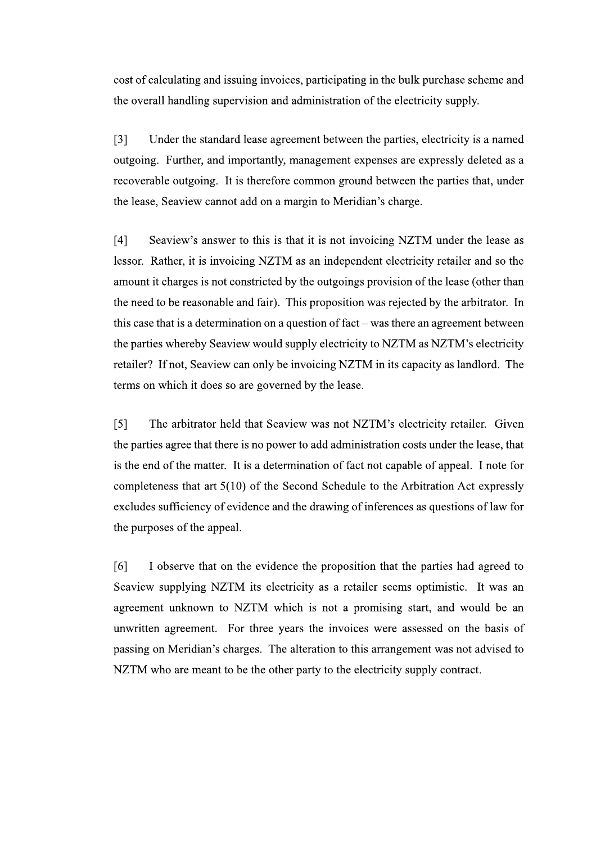cost of calculating and issuing invoices, participating in the bulk purchase scheme and the overall handling supervision and administration of the electricity supply.

 $\lceil 3 \rceil$ Under the standard lease agreement between the parties, electricity is a named outgoing. Further, and importantly, management expenses are expressly deleted as a recoverable outgoing. It is therefore common ground between the parties that, under the lease, Seaview cannot add on a margin to Meridian's charge.

 $[4]$ Seaview's answer to this is that it is not invoicing NZTM under the lease as lessor. Rather, it is invoicing NZTM as an independent electricity retailer and so the amount it charges is not constricted by the outgoings provision of the lease (other than the need to be reasonable and fair). This proposition was rejected by the arbitrator. In this case that is a determination on a question of fact – was there an agreement between the parties whereby Seaview would supply electricity to NZTM as NZTM's electricity retailer? If not, Seaview can only be invoicing NZTM in its capacity as landlord. The terms on which it does so are governed by the lease.

 $[5]$ The arbitrator held that Seaview was not NZTM's electricity retailer. Given the parties agree that there is no power to add administration costs under the lease, that is the end of the matter. It is a determination of fact not capable of appeal. I note for completeness that art  $5(10)$  of the Second Schedule to the Arbitration Act expressly excludes sufficiency of evidence and the drawing of inferences as questions of law for the purposes of the appeal.

[6] I observe that on the evidence the proposition that the parties had agreed to Seaview supplying NZTM its electricity as a retailer seems optimistic. It was an agreement unknown to NZTM which is not a promising start, and would be an unwritten agreement. For three years the invoices were assessed on the basis of passing on Meridian's charges. The alteration to this arrangement was not advised to NZTM who are meant to be the other party to the electricity supply contract.